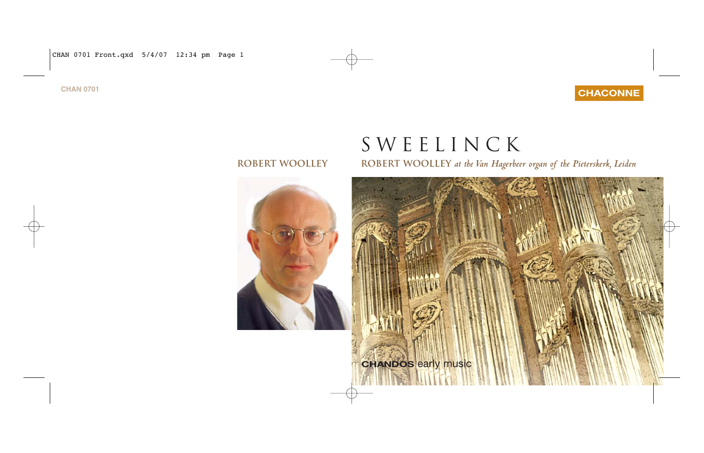CHAN 0701 Front.qxd 5/4/07 12:34 pm Page 1

# **CHAN 0701 CHACONNE**

# Sweelinck

**Robert Woolley Robert Woolley** *at the Van Hagerbeer organ of the Pieterskerk, Leiden*

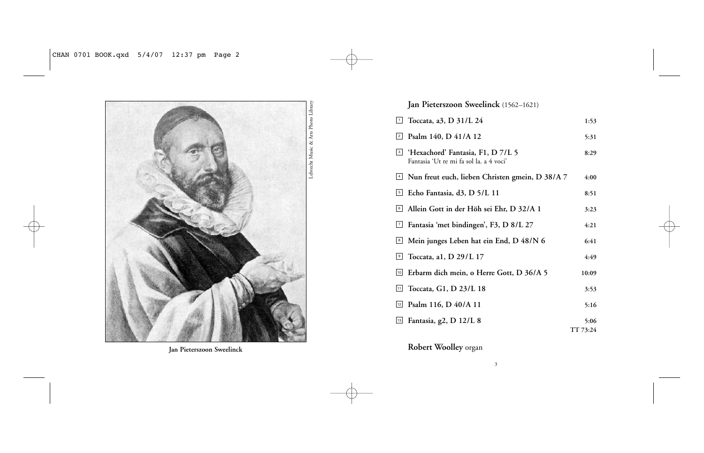

**Jan Pieterszoon Sweelinck**

# **Jan Pieterszoon Sweelinck** (1562–1621)

| 1               | Toccata, a3, D 31/L 24                                                       | 1:53     |
|-----------------|------------------------------------------------------------------------------|----------|
| 2               | Psalm 140, D 41/A 12                                                         | 5:31     |
| 3               | 'Hexachord' Fantasia, F1, D 7/L 5<br>Fantasia 'Ut re mi fa sol la. a 4 voci' | 8:29     |
| $\vert 4 \vert$ | Nun freut euch, lieben Christen gmein, D 38/A 7                              | 4:00     |
| 5               | Echo Fantasia, d3, D 5/L 11                                                  | 8:51     |
| 6               | Allein Gott in der Höh sei Ehr, D 32/A 1                                     | 3:23     |
| Q               | Fantasia 'met bindingen', F3, D 8/L 27                                       | 4:21     |
| $\boxed{8}$     | Mein junges Leben hat ein End, D 48/N 6                                      | 6:41     |
| 9               | Toccata, a1, D 29/L 17                                                       | 4:49     |
| 10              | Erbarm dich mein, o Herre Gott, D 36/A 5                                     | 10:09    |
| 11              | Toccata, G1, D 23/L 18                                                       | 3:53     |
| 12              | Psalm 116, D 40/A 11                                                         | 5:16     |
| $\boxed{13}$    | Fantasia, g2, D 12/L 8                                                       | 5:06     |
|                 |                                                                              | TT 73:24 |

**Robert Woolley** organ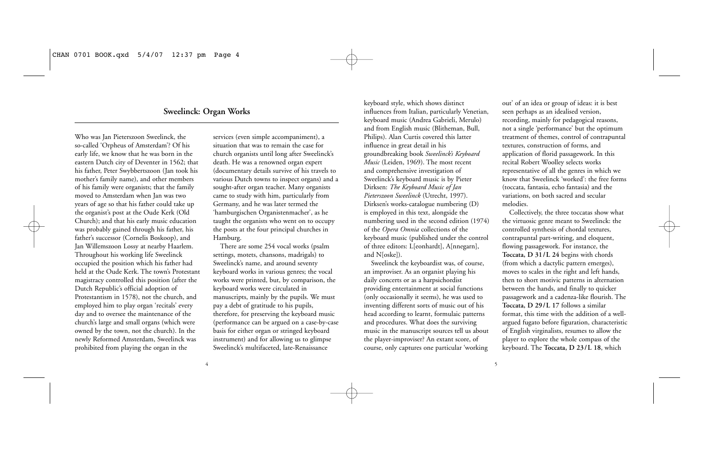# **Sweelinck: Organ Works**

Who was Jan Pieterszoon Sweelinck, the so-called 'Orpheus of Amsterdam'? Of his early life, we know that he was born in the eastern Dutch city of Deventer in 1562; that his father, Peter Swybbertszoon (Jan took his mother's family name), and other members of his family were organists; that the family moved to Amsterdam when Jan was two years of age so that his father could take up the organist's post at the Oude Kerk (Old Church); and that his early music education was probably gained through his father, his father's successor (Cornelis Boskoop), and Jan Willemszoon Lossy at nearby Haarlem. Throughout his working life Sweelinck occupied the position which his father had held at the Oude Kerk. The town's Protestant magistracy controlled this position (after the Dutch Republic's official adoption of Protestantism in 1578), not the church, and employed him to play organ 'recitals' every day and to oversee the maintenance of the church's large and small organs (which were owned by the town, not the church). In the newly Reformed Amsterdam, Sweelinck was prohibited from playing the organ in the

services (even simple accompaniment), a situation that was to remain the case for church organists until long after Sweelinck's death. He was a renowned organ expert (documentary details survive of his travels to various Dutch towns to inspect organs) and a sought-after organ teacher. Many organists came to study with him, particularly from Germany, and he was later termed the 'hamburgischen Organistenmacher', as he taught the organists who went on to occupy the posts at the four principal churches in Hamburg.

There are some 254 vocal works (psalm settings, motets, chansons, madrigals) to Sweelinck's name, and around seventy keyboard works in various genres; the vocal works were printed, but, by comparison, the keyboard works were circulated in manuscripts, mainly by the pupils. We must pay a debt of gratitude to his pupils, therefore, for preserving the keyboard music (performance can be argued on a case-by-case basis for either organ or stringed keyboard instrument) and for allowing us to glimpse Sweelinck's multifaceted, late-Renaissance

keyboard style, which shows distinct influences from Italian, particularly Venetian, keyboard music (Andrea Gabrieli, Merulo) and from English music (Blitheman, Bull, Philips). Alan Curtis covered this latter influence in great detail in his groundbreaking book *Sweelinck's Keyboard Music* (Leiden, 1969). The most recent and comprehensive investigation of Sweelinck's keyboard music is by Pieter Dirksen: *The Keyboard Music of Jan Pieterszoon Sweelinck* (Utrecht, 1997). Dirksen's works-catalogue numbering (D) is employed in this text, alongside the numbering used in the second edition (1974) of the *Opera Omnia* collections of the keyboard music (published under the control of three editors: L[eonhardt], A[nnegarn], and N[oske]).

Sweelinck the keyboardist was, of course, an improviser. As an organist playing his daily concerts or as a harpsichordist providing entertainment at social functions (only occasionally it seems), he was used to inventing different sorts of music out of his head according to learnt, formulaic patterns and procedures. What does the surviving music in the manuscript sources tell us about the player-improviser? An extant score, of course, only captures one particular 'working out' of an idea or group of ideas: it is best seen perhaps as an idealised version, recording, mainly for pedagogical reasons, not a single 'performance' but the optimum treatment of themes, control of contrapuntal textures, construction of forms, and application of florid passagework. In this recital Robert Woolley selects works representative of all the genres in which we know that Sweelinck 'worked': the free forms (toccata, fantasia, echo fantasia) and the variations, on both sacred and secular melodies.

Collectively, the three toccatas show what the virtuosic genre meant to Sweelinck: the controlled synthesis of chordal textures, contrapuntal part-writing, and eloquent, flowing passagework. For instance, the **Toccata, D 31/L 24** begins with chords (from which a dactylic pattern emerges), moves to scales in the right and left hands, then to short motivic patterns in alternation between the hands, and finally to quicker passagework and a cadenza-like flourish. The **Toccata, D 29/L 17** follows a similar format, this time with the addition of a wellargued fugato before figuration, characteristic of English virginalists, resumes to allow the player to explore the whole compass of the keyboard. The **Toccata, D 23/L 18**, which

4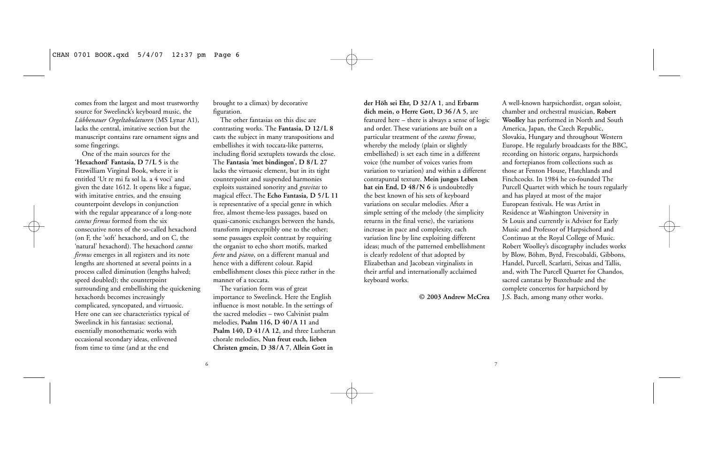comes from the largest and most trustworthy source for Sweelinck's keyboard music, the *Lübbenauer Orgeltabulaturen* (MS Lynar A1), lacks the central, imitative section but the manuscript contains rare ornament signs and some fingerings.

One of the main sources for the **'Hexachord' Fantasia, D 7/L 5** is the Fitzwilliam Virginal Book, where it is entitled 'Ut re mi fa sol la. a 4 voci' and given the date 1612. It opens like a fugue, with imitative entries, and the ensuing counterpoint develops in conjunction with the regular appearance of a long-note *cantus firmus* formed from the six consecutive notes of the so-called hexachord (on F, the 'soft' hexachord, and on C, the 'natural' hexachord). The hexachord *cantus firmus* emerges in all registers and its note lengths are shortened at several points in a process called diminution (lengths halved; speed doubled); the counterpoint surrounding and embellishing the quickening hexachords becomes increasingly complicated, syncopated, and virtuosic. Here one can see characteristics typical of Sweelinck in his fantasias: sectional, essentially monothematic works with occasional secondary ideas, enlivened from time to time (and at the end

brought to a climax) by decorative figuration.

The other fantasias on this disc are contrasting works. The **Fantasia, D 12/L 8** casts the subject in many transpositions and embellishes it with toccata-like patterns, including florid sextuplets towards the close. The **Fantasia 'met bindingen', D 8/L 27** lacks the virtuosic element, but in its tight counterpoint and suspended harmonies exploits sustained sonority and *gravitas* to magical effect. The **Echo Fantasia, D 5/L 11** is representative of a special genre in which free, almost theme-less passages, based on quasi-canonic exchanges between the hands, transform imperceptibly one to the other; some passages exploit contrast by requiring the organist to echo short motifs, marked *forte* and *piano*, on a different manual and hence with a different colour. Rapid embellishment closes this piece rather in the manner of a toccata.

The variation form was of great importance to Sweelinck. Here the English influence is most notable. In the settings of the sacred melodies – two Calvinist psalm melodies, **Psalm 116, D 40/A 11** and **Psalm 140, D 41/A 12**, and three Lutheran chorale melodies, **Nun freut euch, lieben Christen gmein, D 38/A 7**, **Allein Gott in**

6  $\overline{\phantom{a}}$  7

**der Höh sei Ehr, D 32/A 1**, and **Erbarm dich mein, o Herre Gott, D 36 /A 5**, are featured here – there is always a sense of logic and order. These variations are built on a particular treatment of the *cantus firmus*, whereby the melody (plain or slightly embellished) is set each time in a different voice (the number of voices varies from variation to variation) and within a different contrapuntal texture. **Mein junges Leben hat ein End, D 48/N 6** is undoubtedly the best known of his sets of keyboard variations on secular melodies. After a simple setting of the melody (the simplicity returns in the final verse), the variations increase in pace and complexity, each variation line by line exploiting different ideas; much of the patterned embellishment is clearly redolent of that adopted by Elizabethan and Jacobean virginalists in their artful and internationally acclaimed keyboard works.

**© 2003 Andrew McCrea**

A well-known harpsichordist, organ soloist, chamber and orchestral musician, **Robert Woolley** has performed in North and South America, Japan, the Czech Republic, Slovakia, Hungary and throughout Western Europe. He regularly broadcasts for the BBC, recording on historic organs, harpsichords and fortepianos from collections such as those at Fenton House, Hatchlands and Finchcocks. In 1984 he co-founded The Purcell Quartet with which he tours regularly and has played at most of the major European festivals. He was Artist in Residence at Washington University in St Louis and currently is Adviser for Early Music and Professor of Harpsichord and Continuo at the Royal College of Music. Robert Woolley's discography includes works by Blow, Böhm, Byrd, Frescobaldi, Gibbons, Handel, Purcell, Scarlatti, Seixas and Tallis, and, with The Purcell Quartet for Chandos, sacred cantatas by Buxtehude and the complete concertos for harpsichord by J.S. Bach, among many other works.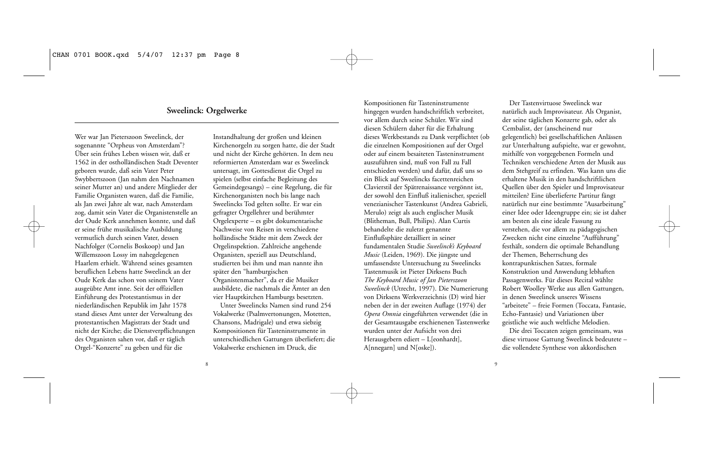# **Sweelinck: Orgelwerke**

Wer war Jan Pieterszoon Sweelinck, der sogenannte "Orpheus von Amsterdam"? Über sein frühes Leben wissen wir, daß er 1562 in der ostholländischen Stadt Deventer geboren wurde, daß sein Vater Peter Swybbertszoon (Jan nahm den Nachnamen seiner Mutter an) und andere Mitglieder der Familie Organisten waren, daß die Familie, als Jan zwei Jahre alt war, nach Amsterdam zog, damit sein Vater die Organistenstelle an der Oude Kerk annehmen konnte, und daß er seine frühe musikalische Ausbildung vermutlich durch seinen Vater, dessen Nachfolger (Cornelis Boskoop) und Jan Willemszoon Lossy im nahegelegenen Haarlem erhielt. Während seines gesamten beruflichen Lebens hatte Sweelinck an der Oude Kerk das schon von seinem Vater ausgeübte Amt inne. Seit der offiziellen Einführung des Protestantismus in der niederländischen Republik im Jahr 1578 stand dieses Amt unter der Verwaltung des protestantischen Magistrats der Stadt und nicht der Kirche; die Dienstverpflichtungen des Organisten sahen vor, daß er täglich Orgel-"Konzerte" zu geben und für die

Instandhaltung der großen und kleinen Kirchenorgeln zu sorgen hatte, die der Stadt und nicht der Kirche gehörten. In dem neu reformierten Amsterdam war es Sweelinck untersagt, im Gottesdienst die Orgel zu spielen (selbst einfache Begleitung des Gemeindegesangs) – eine Regelung, die für Kirchenorganisten noch bis lange nach Sweelincks Tod gelten sollte. Er war ein gefragter Orgellehrer und berühmter Orgelexperte – es gibt dokumentarische Nachweise von Reisen in verschiedene holländische Städte mit dem Zweck der Orgelinspektion. Zahlreiche angehende Organisten, speziell aus Deutschland, studierten bei ihm und man nannte ihn später den "hamburgischen Organistenmacher", da er die Musiker ausbildete, die nachmals die Ämter an den vier Hauptkirchen Hamburgs besetzten.

Unter Sweelincks Namen sind rund 254 Vokalwerke (Psalmvertonungen, Motetten, Chansons, Madrigale) und etwa siebzig Kompositionen für Tasteninstrumente in unterschiedlichen Gattungen überliefert; die Vokalwerke erschienen im Druck, die

Kompositionen für Tasteninstrumente hingegen wurden handschriftlich verbreitet, vor allem durch seine Schüler. Wir sind diesen Schülern daher für die Erhaltung dieses Werkbestands zu Dank verpflichtet (ob die einzelnen Kompositionen auf der Orgel oder auf einem besaiteten Tasteninstrument auszuführen sind, muß von Fall zu Fall entschieden werden) und dafür, daß uns so ein Blick auf Sweelincks facettenreichen Clavierstil der Spätrenaissance vergönnt ist, der sowohl den Einfluß italienischer, speziell venezianischer Tastenkunst (Andrea Gabrieli, Merulo) zeigt als auch englischer Musik (Blitheman, Bull, Philips). Alan Curtis behandelte die zuletzt genannte Einflußsphäre detailliert in seiner fundamentalen Studie *Sweelinck's Keyboard Music* (Leiden, 1969). Die jüngste und umfassendste Untersuchung zu Sweelincks Tastenmusik ist Pieter Dirksens Buch *The Keyboard Music of Jan Pieterszoon Sweelinck* (Utrecht, 1997). Die Numerierung von Dirksens Werkverzeichnis (D) wird hier neben der in der zweiten Auflage (1974) der *Opera Omnia* eingeführten verwendet (die in der Gesamtausgabe erschienenen Tastenwerke wurden unter der Aufsicht von drei Herausgebern ediert – L[eonhardt], A[nnegarn] und N[oske]).

Der Tastenvirtuose Sweelinck war natürlich auch Improvisateur. Als Organist, der seine täglichen Konzerte gab, oder als Cembalist, der (anscheinend nur gelegentlich) bei gesellschaftlichen Anlässen zur Unterhaltung aufspielte, war er gewohnt, mithilfe von vorgegebenen Formeln und Techniken verschiedene Arten der Musik aus dem Stehgreif zu erfinden. Was kann uns die erhaltene Musik in den handschriftlichen Quellen über den Spieler und Improvisateur mitteilen? Eine überlieferte Partitur fängt natürlich nur eine bestimmte "Ausarbeitung" einer Idee oder Ideengruppe ein; sie ist daher am besten als eine ideale Fassung zu verstehen, die vor allem zu pädagogischen Zwecken nicht eine einzelne "Aufführung" festhält, sondern die optimale Behandlung der Themen, Beherrschung des kontrapunktischen Satzes, formale Konstruktion und Anwendung lebhaften Passagenwerks. Für dieses Recital wählte Robert Woolley Werke aus allen Gattungen, in denen Sweelinck unseres Wissens "arbeitete" – freie Formen (Toccata, Fantasie, Echo-Fantasie) und Variationen über geistliche wie auch weltliche Melodien.

Die drei Toccaten zeigen gemeinsam, was diese virtuose Gattung Sweelinck bedeutete – die vollendete Synthese von akkordischen

 $8 \qquad \qquad 9$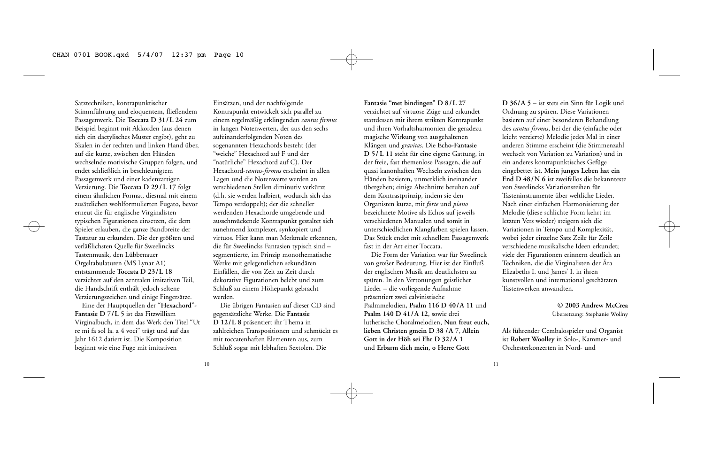Satztechniken, kontrapunktischer Stimmführung und eloquentem, fließendem Passagenwerk. Die **Toccata D 31/L 24** zum Beispiel beginnt mit Akkorden (aus denen sich ein dactylisches Muster ergibt), geht zu Skalen in der rechten und linken Hand über, auf die kurze, zwischen den Händen wechselnde motivische Gruppen folgen, und endet schließlich in beschleunigtem Passagenwerk und einer kadenzartigen Verzierung. Die **Toccata D 29 / L 17** folgt einem ähnlichen Format, diesmal mit einem zusätzlichen wohlformulierten Fugato, bevor erneut die für englische Virginalisten typischen Figurationen einsetzen, die dem Spieler erlauben, die ganze Bandbreite der Tastatur zu erkunden. Die der größten und verläßlichsten Quelle für Sweelincks Tastenmusik, den Lübbenauer Orgeltabulaturen (MS Lynar A1) entstammende **Toccata D 23/L 18** verzichtet auf den zentralen imitativen Teil, die Handschrift enthält jedoch seltene Verzierungszeichen und einige Fingersätze.

Eine der Hauptquellen der **"Hexachord"- Fantasie D 7/L 5** ist das Fitzwilliam Virginalbuch, in dem das Werk den Titel "Ut re mi fa sol la. a 4 voci" trägt und auf das Jahr 1612 datiert ist. Die Komposition beginnt wie eine Fuge mit imitativen

Einsätzen, und der nachfolgende Kontrapunkt entwickelt sich parallel zu einem regelmäßig erklingenden *cantus firmus* in langen Notenwerten, der aus den sechs aufeinanderfolgenden Noten des sogenannten Hexachords besteht (der "weiche" Hexachord auf F und der "natürliche" Hexachord auf C). Der Hexachord-*cantus-firmus* erscheint in allen Lagen und die Notenwerte werden an verschiedenen Stellen diminutiv verkürzt (d.h. sie werden halbiert, wodurch sich das Tempo verdoppelt); der die schneller werdenden Hexachorde umgebende und ausschmückende Kontrapunkt gestaltet sich zunehmend komplexer, synkopiert und virtuos. Hier kann man Merkmale erkennen, die für Sweelincks Fantasien typisch sind – segmentierte, im Prinzip monothematische Werke mit gelegentlichen sekundären Einfällen, die von Zeit zu Zeit durch dekorative Figurationen belebt und zum Schluß zu einem Höhepunkt gebracht werden.

Die übrigen Fantasien auf dieser CD sind gegensätzliche Werke. Die **Fantasie D 12/L 8** präsentiert ihr Thema in zahlreichen Transpositionen und schmückt es mit toccatenhaften Elementen aus, zum Schluß sogar mit lebhaften Sextolen. Die

#### **Fantasie "met bindingen" D 8/L 27**

verzichtet auf virtuose Züge und erkundet stattdessen mit ihrem strikten Kontrapunkt und ihren Vorhaltsharmonien die geradezu magische Wirkung von ausgehaltenen Klängen und *gravitas*. Die **Echo-Fantasie D 5/ L 11** steht für eine eigene Gattung, in der freie, fast themenlose Passagen, die auf quasi kanonhaften Wechseln zwischen den Händen basieren, unmerklich ineinander übergehen; einige Abschnitte beruhen auf dem Kontrastprinzip, indem sie den Organisten kurze, mit *forte* und *piano* bezeichnete Motive als Echos auf jeweils verschiedenen Manualen und somit in unterschiedlichen Klangfarben spielen lassen. Das Stück endet mit schnellem Passagenwerk fast in der Art einer Toccata.

Die Form der Variation war für Sweelinck von großer Bedeutung. Hier ist der Einfluß der englischen Musik am deutlichsten zu spüren. In den Vertonungen geistlicher Lieder – die vorliegende Aufnahme präsentiert zwei calvinistische Psalmmelodien, **Psalm 116 D 40/A 11** und **Psalm 140 D 41/A 12**, sowie drei lutherische Choralmelodien, **Nun freut euch, lieben Christen gmein D 38 /A 7**, **Allein Gott in der Höh sei Ehr D 32/A 1** und **Erbarm dich mein, o Herre Gott**

**D 36/A 5** – ist stets ein Sinn für Logik und Ordnung zu spüren. Diese Variationen basieren auf einer besonderen Behandlung des *cantus firmus*, bei der die (einfache oder leicht verzierte) Melodie jedes Mal in einer anderen Stimme erscheint (die Stimmenzahl wechselt von Variation zu Variation) und in ein anderes kontrapunktisches Gefüge eingebettet ist. **Mein junges Leben hat ein End D 48/N 6** ist zweifellos die bekannteste von Sweelincks Variationsreihen für Tasteninstrumente über weltliche Lieder. Nach einer einfachen Harmonisierung der Melodie (diese schlichte Form kehrt im letzten Vers wieder) steigern sich die Variationen in Tempo und Komplexität, wobei jeder einzelne Satz Zeile für Zeile verschiedene musikalische Ideen erkundet; viele der Figurationen erinnern deutlich an Techniken, die die Virginalisten der Ära Elizabeths I. und James' I. in ihren kunstvollen und international geschätzten Tastenwerken anwandten.

> **© 2003 Andrew McCrea** Übersetzung: Stephanie Wollny

Als führender Cembalospieler und Organist ist **Robert Woolley** in Solo-, Kammer- und Orchesterkonzerten in Nord- und

10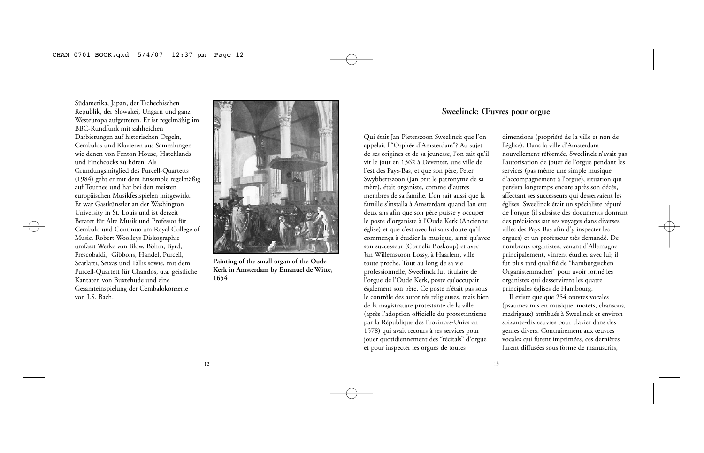Südamerika, Japan, der Tschechischen Republik, der Slowakei, Ungarn und ganz Westeuropa aufgetreten. Er ist regelmäßig im BBC-Rundfunk mit zahlreichen Darbietungen auf historischen Orgeln, Cembalos und Klavieren aus Sammlungen wie denen von Fenton House, Hatchlands und Finchcocks zu hören. Als Gründungsmitglied des Purcell-Quartetts (1984) geht er mit dem Ensemble regelmäßig auf Tournee und hat bei den meisten europäischen Musikfestspielen mitgewirkt. Er war Gastkünstler an der Washington University in St. Louis und ist derzeit Berater für Alte Musik und Professor für Cembalo und Continuo am Royal College of Music. Robert Woolleys Diskographie umfasst Werke von Blow, Böhm, Byrd, Frescobaldi, Gibbons, Händel, Purcell, Scarlatti, Seixas und Tallis sowie, mit dem Purcell-Quartett für Chandos, u.a. geistliche Kantaten von Buxtehude und eine Gesamteinspielung der Cembalokonzerte von J.S. Bach.



**Painting of the small organ of the Oude Kerk in Amsterdam by Emanuel de Witte, 1654**

# **Sweelinck: Œuvres pour orgue**

13

Qui était Jan Pieterszoon Sweelinck que l'on appelait l'"Orphée d'Amsterdam"? Au sujet de ses origines et de sa jeunesse, l'on sait qu'il vit le jour en 1562 à Deventer, une ville de l'est des Pays-Bas, et que son père, Peter Swybbertszoon (Jan prit le patronyme de sa mère), était organiste, comme d'autres membres de sa famille. L'on sait aussi que la famille s'installa à Amsterdam quand Jan eut deux ans afin que son père puisse y occuper le poste d'organiste à l'Oude Kerk (Ancienne église) et que c'est avec lui sans doute qu'il commença à étudier la musique, ainsi qu'avec son successeur (Cornelis Boskoop) et avec Jan Willemszoon Lossy, à Haarlem, ville toute proche. Tout au long de sa vie professionnelle, Sweelinck fut titulaire de l'orgue de l'Oude Kerk, poste qu'occupait également son père. Ce poste n'était pas sous le contrôle des autorités religieuses, mais bien de la magistrature protestante de la ville (après l'adoption officielle du protestantisme par la République des Provinces-Unies en 1578) qui avait recours à ses services pour jouer quotidiennement des "récitals" d'orgue et pour inspecter les orgues de toutes

dimensions (propriété de la ville et non de l'église). Dans la ville d'Amsterdam nouvellement réformée, Sweelinck n'avait pas l'autorisation de jouer de l'orgue pendant les services (pas même une simple musique d'accompagnement à l'orgue), situation qui persista longtemps encore après son décès, affectant ses successeurs qui desservaient les églises. Sweelinck était un spécialiste réputé de l'orgue (il subsiste des documents donnant des précisions sur ses voyages dans diverses villes des Pays-Bas afin d'y inspecter les orgues) et un professeur très demandé. De nombreux organistes, venant d'Allemagne principalement, vinrent étudier avec lui; il fut plus tard qualifié de "hamburgischen Organistenmacher" pour avoir formé les organistes qui desservirent les quatre principales églises de Hambourg.

Il existe quelque 254 œuvres vocales (psaumes mis en musique, motets, chansons, madrigaux) attribués à Sweelinck et environ soixante-dix œuvres pour clavier dans des genres divers. Contrairement aux œuvres vocales qui furent imprimées, ces dernières furent diffusées sous forme de manuscrits,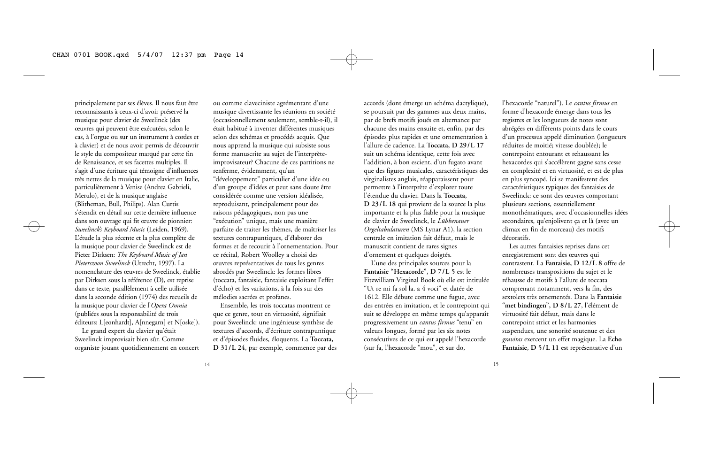principalement par ses élèves. Il nous faut être reconnaissants à ceux-ci d'avoir préservé la musique pour clavier de Sweelinck (des œuvres qui peuvent être exécutées, selon le cas, à l'orgue ou sur un instrument à cordes et à clavier) et de nous avoir permis de découvrir le style du compositeur marqué par cette fin de Renaissance, et ses facettes multiples. Il s'agit d'une écriture qui témoigne d'influences très nettes de la musique pour clavier en Italie, particulièrement à Venise (Andrea Gabrieli, Merulo), et de la musique anglaise (Blitheman, Bull, Philips). Alan Curtis s'étendit en détail sur cette dernière influence dans son ouvrage qui fit œuvre de pionnier: *Sweelinck's Keyboard Music* (Leiden, 1969). L'étude la plus récente et la plus complète de la musique pour clavier de Sweelinck est de Pieter Dirksen: *The Keyboard Music of Jan Pieterszoon Sweelinck* (Utrecht, 1997). La nomenclature des œuvres de Sweelinck, établie par Dirksen sous la référence (D), est reprise dans ce texte, parallèlement à celle utilisée dans la seconde édition (1974) des recueils de la musique pour clavier de l'*Opera Omnia* (publiées sous la responsabilité de trois éditeurs: L[eonhardt], A[nnegarn] et N[oske]).

Le grand expert du clavier qu'était Sweelinck improvisait bien sûr. Comme organiste jouant quotidiennement en concert

ou comme claveciniste agrémentant d'une musique divertissante les réunions en société (occasionnellement seulement, semble-t-il), il était habitué à inventer différentes musiques selon des schémas et procédés acquis. Que nous apprend la musique qui subsiste sous forme manuscrite au sujet de l'interprèteimprovisateur? Chacune de ces partitions ne renferme, évidemment, qu'un "développement" particulier d'une idée ou d'un groupe d'idées et peut sans doute être considérée comme une version idéalisée, reproduisant, principalement pour des raisons pédagogiques, non pas une "exécution" unique, mais une manière parfaite de traiter les thèmes, de maîtriser les textures contrapuntiques, d'élaborer des formes et de recourir à l'ornementation. Pour ce récital, Robert Woolley a choisi des œuvres représentatives de tous les genres abordés par Sweelinck: les formes libres (toccata, fantaisie, fantaisie exploitant l'effet d'écho) et les variations, à la fois sur des mélodies sacrées et profanes.

Ensemble, les trois toccatas montrent ce que ce genre, tout en virtuosité, signifiait pour Sweelinck: une ingénieuse synthèse de textures d'accords, d'écriture contrapuntique et d'épisodes fluides, éloquents. La **Toccata, D 31/L 24**, par exemple, commence par des accords (dont émerge un schéma dactylique), se poursuit par des gammes aux deux mains, par de brefs motifs joués en alternance par chacune des mains ensuite et, enfin, par des épisodes plus rapides et une ornementation à l'allure de cadence. La **Toccata, D 29/L 17** suit un schéma identique, cette fois avec l'addition, à bon escient, d'un fugato avant que des figures musicales, caractéristiques des virginalistes anglais, réapparaissent pour permettre à l'interprète d'explorer toute l'étendue du clavier. Dans la **Toccata, D 23/L 18** qui provient de la source la plus importante et la plus fiable pour la musique de clavier de Sweelinck, le *Lübbenauer Orgeltabulaturen* (MS Lynar A1), la section centrale en imitation fait défaut, mais le manuscrit contient de rares signes d'ornement et quelques doigtés.

L'une des principales sources pour la **Fantaisie "Hexacorde", D 7/L 5** est le Fitzwilliam Virginal Book où elle est intitulée "Ut re mi fa sol la. a 4 voci" et datée de 1612. Elle débute comme une fugue, avec des entrées en imitation, et le contrepoint qui suit se développe en même temps qu'apparaît progressivement un *cantus firmus* "tenu" en valeurs longues, formé par les six notes consécutives de ce qui est appelé l'hexacorde (sur fa, l'hexacorde "mou", et sur do,

l'hexacorde "naturel"). Le *cantus firmus* en forme d'hexacorde émerge dans tous les registres et les longueurs de notes sont abrégées en différents points dans le cours d'un processus appelé diminution (longueurs réduites de moitié; vitesse doublée); le contrepoint entourant et rehaussant les hexacordes qui s'accélèrent gagne sans cesse en complexité et en virtuosité, et est de plus en plus syncopé. Ici se manifestent des caractéristiques typiques des fantaisies de Sweelinck: ce sont des œuvres comportant plusieurs sections, essentiellement monothématiques, avec d'occasionnelles idées secondaires, qu'enjolivent ça et là (avec un climax en fin de morceau) des motifs décoratifs.

Les autres fantaisies reprises dans cet enregistrement sont des œuvres qui contrastent. La **Fantaisie, D 12/L 8** offre de nombreuses transpositions du sujet et le réhausse de motifs à l'allure de toccata comprenant notamment, vers la fin, des sextolets très ornementés. Dans la **Fantaisie "met bindingen", D 8/L 27**, l'élément de virtuosité fait défaut, mais dans le contrepoint strict et les harmonies suspendues, une sonorité soutenue et des *gravitas* exercent un effet magique. La **Echo Fantaisie, D 5/L 11** est représentative d'un

14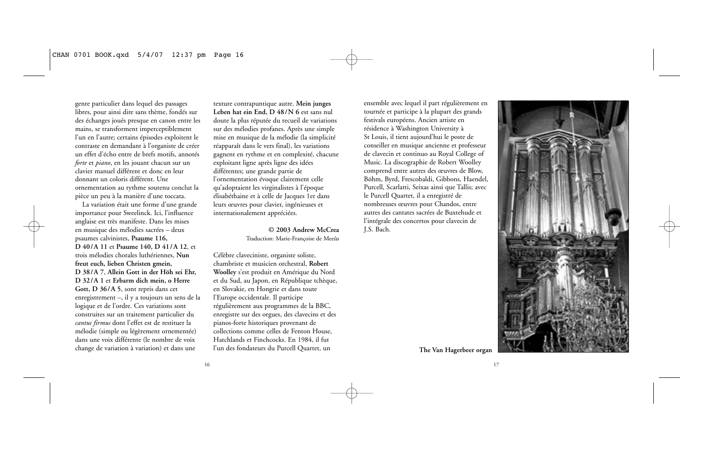genre particulier dans lequel des passages libres, pour ainsi dire sans thème, fondés sur des échanges joués presque en canon entre les mains, se transforment imperceptiblement l'un en l'autre; certains épisodes exploitent le contraste en demandant à l'organiste de créer un effet d'écho entre de brefs motifs, annotés *forte* et *piano*, en les jouant chacun sur un clavier manuel différent et donc en leur donnant un coloris différent. Une ornementation au rythme soutenu conclut la pièce un peu à la manière d'une toccata.

La variation était une forme d'une grande importance pour Sweelinck. Ici, l'influence anglaise est très manifeste. Dans les mises en musique des mélodies sacrées – deux psaumes calvinistes, **Psaume 116, D 40/A 11** et **Psaume 140, D 41/A 12**, et trois mélodies chorales luthériennes, **Nun freut euch, lieben Christen gmein, D 38/A 7**, **Allein Gott in der Höh sei Ehr, D 32/A 1** et **Erbarm dich mein, o Herre Gott, D 36/A 5**, sont repris dans cet enregistrement –, il y a toujours un sens de la logique et de l'ordre. Ces variations sont construites sur un traitement particulier du *cantus firmus* dont l'effet est de restituer la mélodie (simple ou légèrement ornementée) dans une voix différente (le nombre de voix change de variation à variation) et dans une

texture contrapuntique autre. **Mein junges Leben hat ein End, D 48/N 6** est sans nul doute la plus réputée du recueil de variations sur des mélodies profanes. Après une simple mise en musique de la mélodie (la simplicité réapparaît dans le vers final), les variations gagnent en rythme et en complexité, chacune exploitant ligne après ligne des idées différentes; une grande partie de l'ornementation évoque clairement celle qu'adoptaient les virginalistes à l'époque élisabéthaine et à celle de Jacques 1er dans leurs œuvres pour clavier, ingénieuses et internationalement appréciées.

> **© 2003 Andrew McCrea** Traduction: Marie-Françoise de Meeûs

Célèbre claveciniste, organiste soliste, chambriste et musicien orchestral, **Robert Woolley** s'est produit en Amérique du Nord et du Sud, au Japon, en République tchèque, en Slovakie, en Hongrie et dans toute l'Europe occidentale. Il participe régulièrement aux programmes de la BBC, enregistre sur des orgues, des clavecins et des pianos-forte historiques provenant de collections comme celles de Fenton House, Hatchlands et Finchcocks. En 1984, il fut l'un des fondateurs du Purcell Quartet, un **The Van Hagerbeer organ**

ensemble avec lequel il part régulièrement en tournée et participe à la plupart des grands festivals européens. Ancien artiste en résidence à Washington University à St Louis, il tient aujourd'hui le poste de conseiller en musique ancienne et professeur de clavecin et continuo au Royal College of Music. La discographie de Robert Woolley comprend entre autres des œuvres de Blow, Böhm, Byrd, Frescobaldi, Gibbons, Haendel, Purcell, Scarlatti, Seixas ainsi que Tallis; avec le Purcell Quartet, il a enregistré de nombreuses œuvres pour Chandos, entre autres des cantates sacrées de Buxtehude et l'intégrale des concertos pour clavecin de J.S. Bach.



17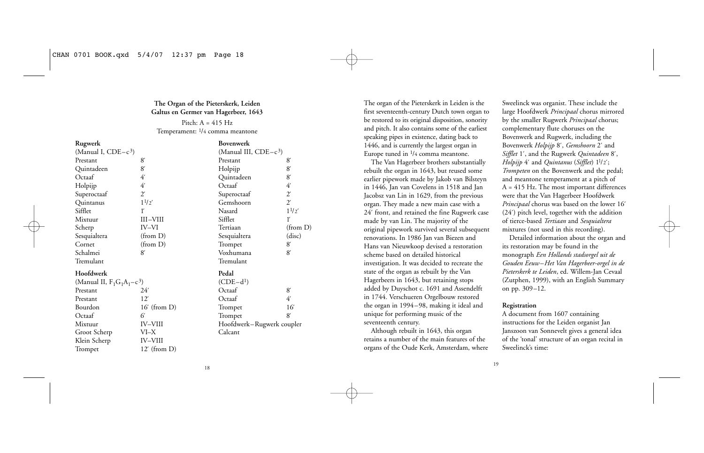### **The Organ of the Pieterskerk, Leiden Galtus en Germer van Hagerbeer, 1643**

Pitch:  $A = 415$  Hz Temperament: 1/4 comma meantone

| Rugwerk                       |                | Bovenwerk                 |              |
|-------------------------------|----------------|---------------------------|--------------|
| (Manual I, $CDE-c3$ )         |                | (Manual III, $CDE-c3$ )   |              |
| Prestant                      | 8              | Prestant                  | 8'           |
| Quintadeen                    | 8              | Holpijp                   | 8'           |
| Octaaf                        | 4              | Quintadeen                | 8'           |
| Holpijp                       | 41             | Octaaf                    | 41           |
| Superoctaaf                   | $\mathcal{L}'$ | Superoctaaf               | $2^{\prime}$ |
| Quintanus                     | $1^{1/2'}$     | Gemshoorn                 | $2^{\prime}$ |
| Sifflet                       | ľ              | Nasard                    | $1^{1/2'}$   |
| Mixtuur                       | III-VIII       | Sifflet                   | ľ            |
| Scherp                        | IV-VI          | Tertiaan                  | (from D)     |
| Sesquialtera                  | (from D)       | Sesquialtera              | (disc)       |
| Cornet                        | (from D)       | Trompet                   | 8'           |
| Schalmei                      | 8              | Voxhumana                 | 8'           |
| Tremulant                     |                | Tremulant                 |              |
| Hoofdwerk                     |                | Pedal                     |              |
| (Manual II, $F_1G_1A_1-c^3$ ) |                | $(CDE-d1)$                |              |
| Prestant                      | 24'            | Octaaf                    | 8'           |
| Prestant                      | 12'            | Octaaf                    | 4            |
| Bourdon                       | $16'$ (from D) | Trompet                   | 16           |
| Octaaf                        | 6              | Trompet                   | 8'           |
| Mixtuur                       | <b>IV-VIII</b> | Hoofdwerk–Rugwerk coupler |              |
| Groot Scherp                  | VI–X           | Calcant                   |              |
| Klein Scherp                  | <b>IV-VIII</b> |                           |              |

Trompet 12<sup>'</sup> (from D)

The organ of the Pieterskerk in Leiden is the first seventeenth-century Dutch town organ to be restored to its original disposition, sonority and pitch. It also contains some of the earliest speaking pipes in existence, dating back to 1446, and is currently the largest organ in Europe tuned in 1/4 comma meantone.

The Van Hagerbeer brothers substantially rebuilt the organ in 1643, but reused some earlier pipework made by Jakob van Bilsteyn in 1446, Jan van Covelens in 1518 and Jan Jacobsz van Lin in 1629, from the previous organ. They made a new main case with a 24´ front, and retained the fine Rugwerk case made by van Lin. The majority of the original pipework survived several subsequent renovations. In 1986 Jan van Biezen and Hans van Nieuwkoop devised a restoration scheme based on detailed historical investigation. It was decided to recreate the state of the organ as rebuilt by the Van Hagerbeers in 1643, but retaining stops added by Duyschot c. 1691 and Assendelft in 1744. Verschueren Orgelbouw restored the organ in 1994–98, making it ideal and unique for performing music of the seventeenth century.

Although rebuilt in 1643, this organ retains a number of the main features of the organs of the Oude Kerk, Amsterdam, where

Sweelinck was organist. These include the large Hoofdwerk *Principaal* chorus mirrored by the smaller Rugwerk *Principaal* chorus; complementary flute choruses on the Bovenwerk and Rugwerk, including the Bovenwerk *Holpijp* 8´, *Gemshoorn* 2´ and *Sifflet* 1´, and the Rugwerk *Quintadeen* 8´, *Holpijp* 4´ and *Quintanus* (*Sifflet*) 11/2´; *Trompeten* on the Bovenwerk and the pedal; and meantone temperament at a pitch of A = 415 Hz. The most important differences were that the Van Hagerbeer Hoofdwerk *Principaal* chorus was based on the lower 16´ (24´) pitch level, together with the addition of tierce-based *Tertiaan* and *Sesquialtera* mixtures (not used in this recording).

Detailed information about the organ and its restoration may be found in the monograph *Een Hollands stadsorgel uit de Gouden Eeuw–Het Van Hagerbeer-orgel in de Pieterskerk te Leiden*, ed. Willem-Jan Cevaal (Zutphen, 1999), with an English Summary on pp. 309–12.

#### **Registration**

A document from 1607 containing instructions for the Leiden organist Jan Janszoon van Sonnevelt gives a general idea of the 'tonal' structure of an organ recital in Sweelinck's time:

18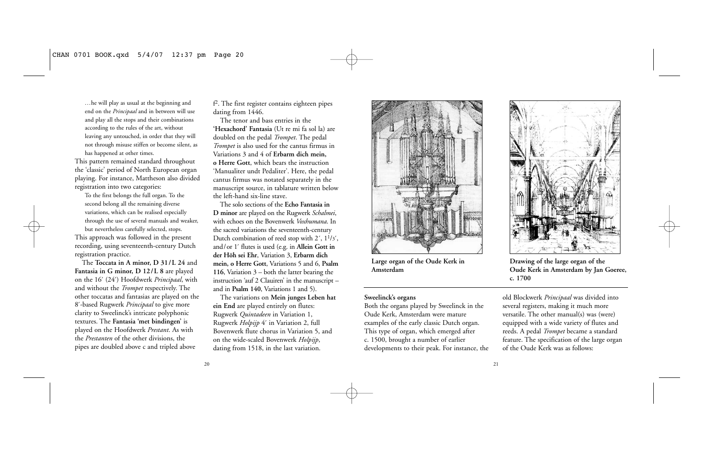*…*he will play as usual at the beginning and end on the *Principaal* and in between will use and play all the stops and their combinations according to the rules of the art, without leaving any untouched, in order that they will not through misuse stiffen or become silent, as has happened at other times.

This pattern remained standard throughout the 'classic' period of North European organ playing. For instance, Mattheson also divided registration into two categories:

To the first belongs the full organ. To the second belong all the remaining diverse variations, which can be realised especially through the use of several manuals and weaker, but nevertheless carefully selected, stops. This approach was followed in the present recording, using seventeenth-century Dutch registration practice.

The **Toccata in A minor, D 31/L 24** and **Fantasia in G minor, D 12/L 8** are played on the 16´ (24´) Hoofdwerk *Principaal*, with and without the *Trompet* respectively. The other toccatas and fantasias are played on the 8´-based Rugwerk *Principaal* to give more clarity to Sweelinck's intricate polyphonic textures. The **Fantasia 'met bindingen'** is played on the Hoofdwerk *Prestant*. As with the *Prestanten* of the other divisions, the pipes are doubled above c and tripled above

f2. The first register contains eighteen pipes dating from 1446.

The tenor and bass entries in the **'Hexachord' Fantasia** (Ut re mi fa sol la) are doubled on the pedal *Trompet*. The pedal *Trompet* is also used for the cantus firmus in Variations 3 and 4 of **Erbarm dich mein, o Herre Gott**, which bears the instruction 'Manualiter undt Pedaliter'. Here, the pedal cantus firmus was notated separately in the manuscript source, in tablature written below the left-hand six-line stave.

The solo sections of the **Echo Fantasia in D minor** are played on the Rugwerk *Schalmei*, with echoes on the Bovenwerk *Voxhumana*. In the sacred variations the seventeenth-century Dutch combination of reed stop with  $2', 1<sup>1</sup>/3'$ , and/or 1´ flutes is used (e.g. in **Allein Gott in der Höh sei Ehr**, Variation 3, **Erbarm dich mein, o Herre Gott**, Variations 5 and 6, **Psalm 116**, Variation 3 – both the latter bearing the instruction 'auf 2 Clauiren' in the manuscript – and in **Psalm 140**, Variations 1 and 5).

The variations on **Mein junges Leben hat ein End** are played entirely on flutes: Rugwerk *Quintadeen* in Variation 1, Rugwerk *Holpijp* 4´ in Variation 2, full Bovenwerk flute chorus in Variation 5, and on the wide-scaled Bovenwerk *Holpijp*, dating from 1518, in the last variation.



**Large organ of the Oude Kerk in Amsterdam**

#### **Sweelinck's organs**

Both the organs played by Sweelinck in the Oude Kerk, Amsterdam were mature examples of the early classic Dutch organ. This type of organ, which emerged after c. 1500, brought a number of earlier developments to their peak. For instance, the



**Drawing of the large organ of the Oude Kerk in Amsterdam by Jan Goeree, c. 1700**

old Blockwerk *Principaal* was divided into several registers, making it much more versatile. The other manual(s) was (were) equipped with a wide variety of flutes and reeds. A pedal *Trompet* became a standard feature. The specification of the large organ of the Oude Kerk was as follows:

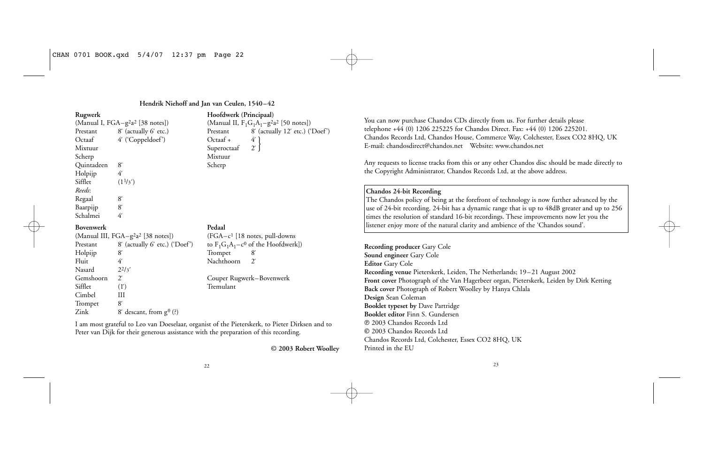## **Hendrik Niehoff and Jan van Ceulen, 1540–42**

| Rugwerk          |                                                            | Hoofdwerk (Prin                      |
|------------------|------------------------------------------------------------|--------------------------------------|
|                  | (Manual I, FGA–g <sup>2</sup> a <sup>2</sup> [38 notes])   | (Manual II, $F_1G_1$ .               |
| Prestant         | 8' (actually 6' etc.)                                      | 8<br>Prestant                        |
| Octaaf           | 4' ('Coppeldoef')                                          | 4<br>Octaaf +                        |
| Mixtuur          |                                                            | $\mathbf{2}^{\prime}$<br>Superoctaaf |
| Scherp           |                                                            | Mixtuur                              |
| Quintadeen       | 8'                                                         | Scherp                               |
| Holpijp          | 4'                                                         |                                      |
| Sifflet          | $(1\frac{1}{3})$                                           |                                      |
| Reeds:           |                                                            |                                      |
| Regaal           | 8                                                          |                                      |
| Baarpijp         | 8'                                                         |                                      |
| Schalmei         | 4                                                          |                                      |
| <b>Bovenwerk</b> |                                                            | Pedaal                               |
|                  | (Manual III, FGA-g <sup>2</sup> a <sup>2</sup> [38 notes]) | $(FGA-c1 [18 not$                    |
| Prestant         | 8' (actually 6' etc.) ('Doef')                             | to $F_1G_1A_1 - c^0$ of              |
| Holpijp          | 8                                                          | 8<br>Trompet                         |
| Fluit            | 4                                                          | $2^{\prime}$<br>Nachthoorn           |
| Nasard           | $2^{2}/3'$                                                 |                                      |
| Gemshoorn        | $2^{\prime}$                                               | Couper Rugwerk-                      |
| Sifflet          | (1')                                                       | Tremulant                            |
| Cimbel           | Ш                                                          |                                      |
| Trompet          | 8                                                          |                                      |
| Zink             | 8' descant, from $g^0$ (?)                                 |                                      |
|                  |                                                            |                                      |

(Manual II,  $F_1G_1A_1-g^2a^2$  [50 notes])<br>Prestant 8' (actually 12' etc.) ('  $8'$  (actually 12´ etc.) ('Doef') Octaaf +  $4'$  }<br>Superoctaaf 2´ } Mixtuur Scherp  $(FGA-c<sup>1</sup> [18 notes, pull-downs])$ to  $F_1G_1A_1-c^0$  of the Hoofdwerk])<br>Trompet 8´

**Rugwerk Hoofdwerk (Principaal)**

Couper Rugwerk–Bovenwerk

I am most grateful to Leo van Doeselaar, organist of the Pieterskerk, to Pieter Dirksen and to Peter van Dijk for their generous assistance with the preparation of this recording.

**© 2003 Robert Woolley**

You can now purchase Chandos CDs directly from us. For further details please telephone +44 (0) 1206 225225 for Chandos Direct. Fax: +44 (0) 1206 225201. Chandos Records Ltd, Chandos House, Commerce Way, Colchester, Essex CO2 8HQ, UK E-mail: chandosdirect@chandos.net Website: www.chandos.net

Any requests to license tracks from this or any other Chandos disc should be made directly to the Copyright Administrator, Chandos Records Ltd, at the above address.

### **Chandos 24-bit Recording**

The Chandos policy of being at the forefront of technology is now further advanced by the use of 24-bit recording. 24-bit has a dynamic range that is up to 48dB greater and up to 256 times the resolution of standard 16-bit recordings. These improvements now let you the listener enjoy more of the natural clarity and ambience of the 'Chandos sound'.

**Recording producer** Gary Cole **Sound engineer** Gary Cole **Editor** Gary Cole **Recording venue** Pieterskerk, Leiden, The Netherlands; 19–21 August 2002 **Front cover** Photograph of the Van Hagerbeer organ, Pieterskerk, Leiden by Dirk Ketting **Back cover** Photograph of Robert Woolley by Hanya Chlala **Design** Sean Coleman **Booklet typeset by** Dave Partridge **Booklet editor** Finn S. Gundersen P 2003 Chandos Records Ltd C 2003 Chandos Records Ltd Chandos Records Ltd, Colchester, Essex CO2 8HQ, UK Printed in the EU